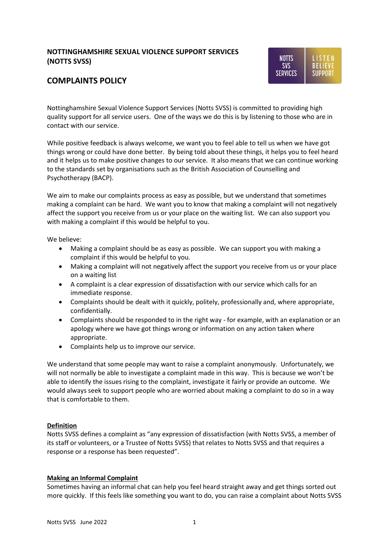## **NOTTINGHAMSHIRE SEXUAL VIOLENCE SUPPORT SERVICES (NOTTS SVSS)**



# **COMPLAINTS POLICY**

Nottinghamshire Sexual Violence Support Services (Notts SVSS) is committed to providing high quality support for all service users. One of the ways we do this is by listening to those who are in contact with our service.

While positive feedback is always welcome, we want you to feel able to tell us when we have got things wrong or could have done better. By being told about these things, it helps you to feel heard and it helps us to make positive changes to our service. It also means that we can continue working to the standards set by organisations such as the British Association of Counselling and Psychotherapy (BACP).

We aim to make our complaints process as easy as possible, but we understand that sometimes making a complaint can be hard. We want you to know that making a complaint will not negatively affect the support you receive from us or your place on the waiting list. We can also support you with making a complaint if this would be helpful to you.

We believe:

- Making a complaint should be as easy as possible. We can support you with making a complaint if this would be helpful to you.
- Making a complaint will not negatively affect the support you receive from us or your place on a waiting list
- A complaint is a clear expression of dissatisfaction with our service which calls for an immediate response.
- Complaints should be dealt with it quickly, politely, professionally and, where appropriate, confidentially.
- Complaints should be responded to in the right way for example, with an explanation or an apology where we have got things wrong or information on any action taken where appropriate.
- Complaints help us to improve our service.

We understand that some people may want to raise a complaint anonymously. Unfortunately, we will not normally be able to investigate a complaint made in this way. This is because we won't be able to identify the issues rising to the complaint, investigate it fairly or provide an outcome. We would always seek to support people who are worried about making a complaint to do so in a way that is comfortable to them.

#### **Definition**

Notts SVSS defines a complaint as "any expression of dissatisfaction (with Notts SVSS, a member of its staff or volunteers, or a Trustee of Notts SVSS) that relates to Notts SVSS and that requires a response or a response has been requested".

#### **Making an Informal Complaint**

Sometimes having an informal chat can help you feel heard straight away and get things sorted out more quickly. If this feels like something you want to do, you can raise a complaint about Notts SVSS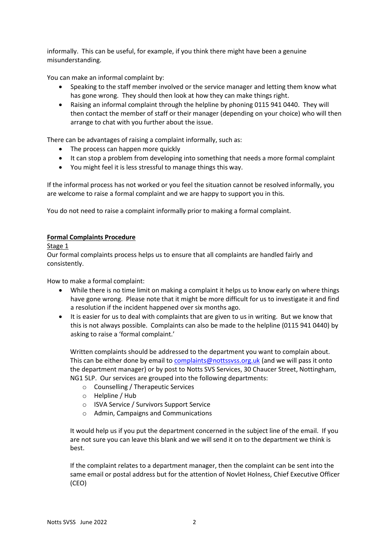informally. This can be useful, for example, if you think there might have been a genuine misunderstanding.

You can make an informal complaint by:

- Speaking to the staff member involved or the service manager and letting them know what has gone wrong. They should then look at how they can make things right.
- Raising an informal complaint through the helpline by phoning 0115 941 0440. They will then contact the member of staff or their manager (depending on your choice) who will then arrange to chat with you further about the issue.

There can be advantages of raising a complaint informally, such as:

- The process can happen more quickly
- It can stop a problem from developing into something that needs a more formal complaint
- You might feel it is less stressful to manage things this way.

If the informal process has not worked or you feel the situation cannot be resolved informally, you are welcome to raise a formal complaint and we are happy to support you in this.

You do not need to raise a complaint informally prior to making a formal complaint.

#### **Formal Complaints Procedure**

Stage 1

Our formal complaints process helps us to ensure that all complaints are handled fairly and consistently.

How to make a formal complaint:

- While there is no time limit on making a complaint it helps us to know early on where things have gone wrong. Please note that it might be more difficult for us to investigate it and find a resolution if the incident happened over six months ago.
- It is easier for us to deal with complaints that are given to us in writing. But we know that this is not always possible. Complaints can also be made to the helpline (0115 941 0440) by asking to raise a 'formal complaint.'

Written complaints should be addressed to the department you want to complain about. This can be either done by email t[o complaints@nottssvss.org.uk](mailto:complaints@nottssvss.org.uk) (and we will pass it onto the department manager) or by post to Notts SVS Services, 30 Chaucer Street, Nottingham, NG1 5LP. Our services are grouped into the following departments:

- o Counselling / Therapeutic Services
- o Helpline / Hub
- o ISVA Service / Survivors Support Service
- o Admin, Campaigns and Communications

It would help us if you put the department concerned in the subject line of the email. If you are not sure you can leave this blank and we will send it on to the department we think is best.

If the complaint relates to a department manager, then the complaint can be sent into the same email or postal address but for the attention of Novlet Holness, Chief Executive Officer (CEO)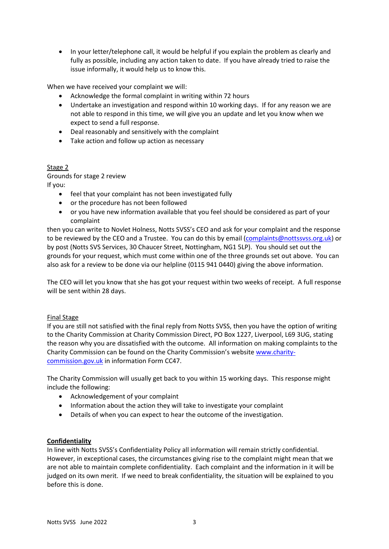• In your letter/telephone call, it would be helpful if you explain the problem as clearly and fully as possible, including any action taken to date. If you have already tried to raise the issue informally, it would help us to know this.

When we have received your complaint we will:

- Acknowledge the formal complaint in writing within 72 hours
- Undertake an investigation and respond within 10 working days. If for any reason we are not able to respond in this time, we will give you an update and let you know when we expect to send a full response.
- Deal reasonably and sensitively with the complaint
- Take action and follow up action as necessary

#### Stage 2

Grounds for stage 2 review If you:

- feel that your complaint has not been investigated fully
	- or the procedure has not been followed
	- or you have new information available that you feel should be considered as part of your complaint

then you can write to Novlet Holness, Notts SVSS's CEO and ask for your complaint and the response to be reviewed by the CEO and a Trustee. You can do this by email [\(complaints@nottssvss.org.uk\)](mailto:complaints@nottssvss.org.uk) or by post (Notts SVS Services, 30 Chaucer Street, Nottingham, NG1 5LP). You should set out the grounds for your request, which must come within one of the three grounds set out above. You can also ask for a review to be done via our helpline (0115 941 0440) giving the above information.

The CEO will let you know that she has got your request within two weeks of receipt. A full response will be sent within 28 days.

#### Final Stage

If you are still not satisfied with the final reply from Notts SVSS, then you have the option of writing to the Charity Commission at Charity Commission Direct, PO Box 1227, Liverpool, L69 3UG, stating the reason why you are dissatisfied with the outcome. All information on making complaints to the Charity Commission can be found on the Charity Commission's website [www.charity](http://www.charity-commission.gov.uk/)[commission.gov.uk](http://www.charity-commission.gov.uk/) in information Form CC47.

The Charity Commission will usually get back to you within 15 working days. This response might include the following:

- Acknowledgement of your complaint
- Information about the action they will take to investigate your complaint
- Details of when you can expect to hear the outcome of the investigation.

#### **Confidentiality**

In line with Notts SVSS's Confidentiality Policy all information will remain strictly confidential. However, in exceptional cases, the circumstances giving rise to the complaint might mean that we are not able to maintain complete confidentiality. Each complaint and the information in it will be judged on its own merit. If we need to break confidentiality, the situation will be explained to you before this is done.